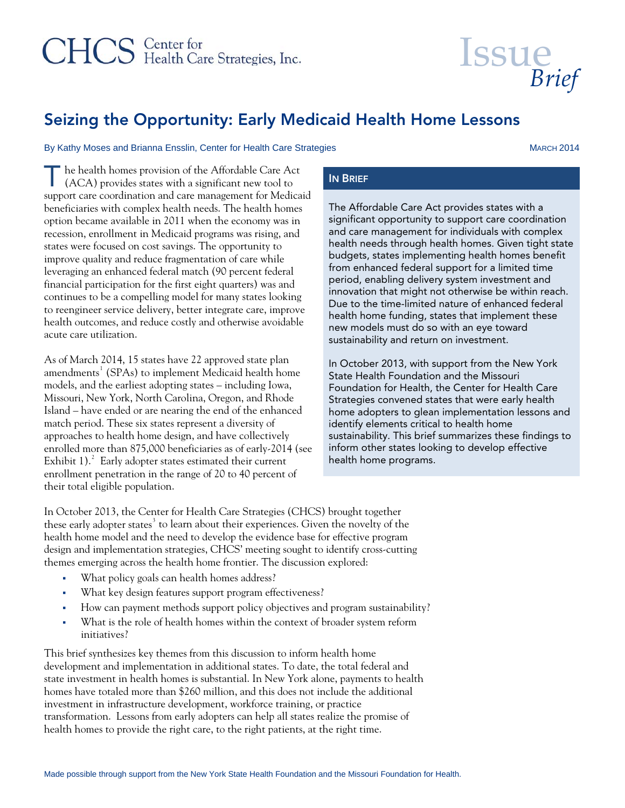# CHCS Center for<br>
Health Care Strategies, Inc.

# Seizing the Opportunity: Early Medicaid Health Home Lessons

#### By Kathy Moses and Brianna Ensslin, Center for Health Care Strategies MARCH 2014

 *Brief* 

**Issue** 

The health homes provision of the Affordable Care Act (ACA) provides states with a significant new tool to ( ACA) provides states with a significant new tool to support care coordination and care management for Medicaid beneficiaries with complex health needs. The health homes option became available in 2011 when the economy was in recession, enrollment in Medicaid programs was rising, and states were focused on cost savings. The opportunity to improve quality and reduce fragmentation of care while leveraging an enhanced federal match (90 percent federal financial participation for the first eight quarters) was and continues to be a compelling model for many states looking to reengineer service delivery, better integrate care, improve health outcomes, and reduce costly and otherwise avoidable acute care utilization.

As of March 2014, 15 states have 22 approved state plan amendments $^1$  $^1$  (SPAs) to implement Medicaid health home models, and the earliest adopting states – including Iowa, Missouri, New York, North Carolina, Oregon, and Rhode Island – have ended or are nearing the end of the enhanced match period. These six states represent a diversity of approaches to health home design, and have collectively enrolled more than 875,000 beneficiaries as of early-2014 (see Exhibit 1). $^{2}$  $^{2}$  $^{2}$  Early adopter states estimated their current enrollment penetration in the range of 20 to 40 percent of their total eligible population.

The Affordable Care Act provides states with a significant opportunity to support care coordination and care management for individuals with complex health needs through health homes. Given tight state budgets, states implementing health homes benefit from enhanced federal support for a limited time period, enabling delivery system investment and innovation that might not otherwise be within reach. Due to the time-limited nature of enhanced federal health home funding, states that implement these new models must do so with an eye toward sustainability and return on investment.

In October 2013, with support from the New York State Health Foundation and the Missouri Foundation for Health, the Center for Health Care Strategies convened states that were early health home adopters to glean implementation lessons and identify elements critical to health home sustainability. This brief summarizes these findings to inform other states looking to develop effective health home programs.

In October 2013, the Center for Health Care Strategies (CHCS) brought together these early adopter states $^3$  $^3$  to learn about their experiences. Given the novelty of the health home model and the need to develop the evidence base for effective program design and implementation strategies, CHCS' meeting sought to identify cross-cutting themes emerging across the health home frontier. The discussion explored:

- What policy goals can health homes address?
- What key design features support program effectiveness?
- How can payment methods support policy objectives and program sustainability?
- What is the role of health homes within the context of broader system reform initiatives?

This brief synthesizes key themes from this discussion to inform health home development and implementation in additional states. To date, the total federal and state investment in health homes is substantial. In New York alone, payments to health homes have totaled more than \$260 million, and this does not include the additional investment in infrastructure development, workforce training, or practice transformation. Lessons from early adopters can help all states realize the promise of health homes to provide the right care, to the right patients, at the right time.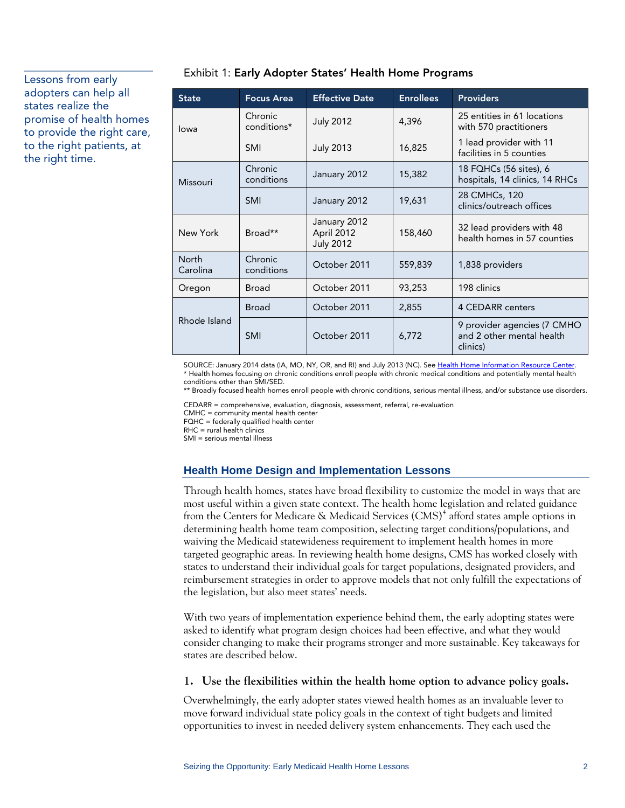### adopters can help all states realize the promise of health homes to provide the right care, to the right patients, at the right time.

| <b>State</b>             | <b>Focus Area</b>      | <b>Effective Date</b>                          | <b>Enrollees</b> | Providers                                                            |  |  |
|--------------------------|------------------------|------------------------------------------------|------------------|----------------------------------------------------------------------|--|--|
| lowa                     | Chronic<br>conditions* | <b>July 2012</b>                               | 4,396            | 25 entities in 61 locations<br>with 570 practitioners                |  |  |
|                          | <b>SMI</b>             | <b>July 2013</b>                               | 16,825           | 1 lead provider with 11<br>facilities in 5 counties                  |  |  |
| Missouri                 | Chronic<br>conditions  | January 2012                                   | 15,382           | 18 FQHCs (56 sites), 6<br>hospitals, 14 clinics, 14 RHCs             |  |  |
|                          | <b>SMI</b>             | January 2012                                   | 19,631           | 28 CMHCs, 120<br>clinics/outreach offices                            |  |  |
| New York                 | Broad**                | January 2012<br>April 2012<br><b>July 2012</b> | 158,460          | 32 lead providers with 48<br>health homes in 57 counties             |  |  |
| <b>North</b><br>Carolina | Chronic<br>conditions  | October 2011                                   | 559,839          | 1,838 providers                                                      |  |  |
| Oregon                   | Broad                  | October 2011                                   | 93,253           | 198 clinics                                                          |  |  |
| Rhode Island             | <b>Broad</b>           | October 2011                                   | 2,855            | <b>4 CEDARR centers</b>                                              |  |  |
|                          | <b>SMI</b>             | October 2011                                   | 6,772            | 9 provider agencies (7 CMHO<br>and 2 other mental health<br>clinics) |  |  |

## **Exhibit 1: Early Adopter States' Health Home Programs**<br>Lessons from early

SOURCE: January 2014 data (IA, MO, NY, OR, and RI) and July 2013 (NC). See [Health Home Information Resource Center](http://www.medicaid.gov/State-Resource-Center/Medicaid-State-Technical-Assistance/Health-Homes-Technical-Assistance/Downloads/HH-MAP_v31.pdf). \* Health homes focusing on chronic conditions enroll people with chronic medical conditions and potentially mental health conditions other than SMI/SED.

\*\* Broadly focused health homes enroll people with chronic conditions, serious mental illness, and/or substance use disorders.

CEDARR = comprehensive, evaluation, diagnosis, assessment, referral, re-evaluation

CMHC = community mental health center

 $FOHC = federalv$  qualified health center

 $R$ H $C$  = rural health clinics

SMI = serious mental illness

#### **Health Home Design and Implementation Lessons**

Through health homes, states have broad flexibility to customize the model in ways that are most useful within a given state context. The health home legislation and related guidance from the Centers for Medicare & Medicaid Services  $(CMS)^4$  $(CMS)^4$  afford states ample options in determining health home team composition, selecting target conditions/populations, and waiving the Medicaid statewideness requirement to implement health homes in more targeted geographic areas. In reviewing health home designs, CMS has worked closely with states to understand their individual goals for target populations, designated providers, and reimbursement strategies in order to approve models that not only fulfill the expectations of the legislation, but also meet states' needs.

With two years of implementation experience behind them, the early adopting states were asked to identify what program design choices had been effective, and what they would consider changing to make their programs stronger and more sustainable. Key takeaways for states are described below.

#### **1. Use the flexibilities within the health home option to advance policy goals.**

Overwhelmingly, the early adopter states viewed health homes as an invaluable lever to move forward individual state policy goals in the context of tight budgets and limited opportunities to invest in needed delivery system enhancements. They each used the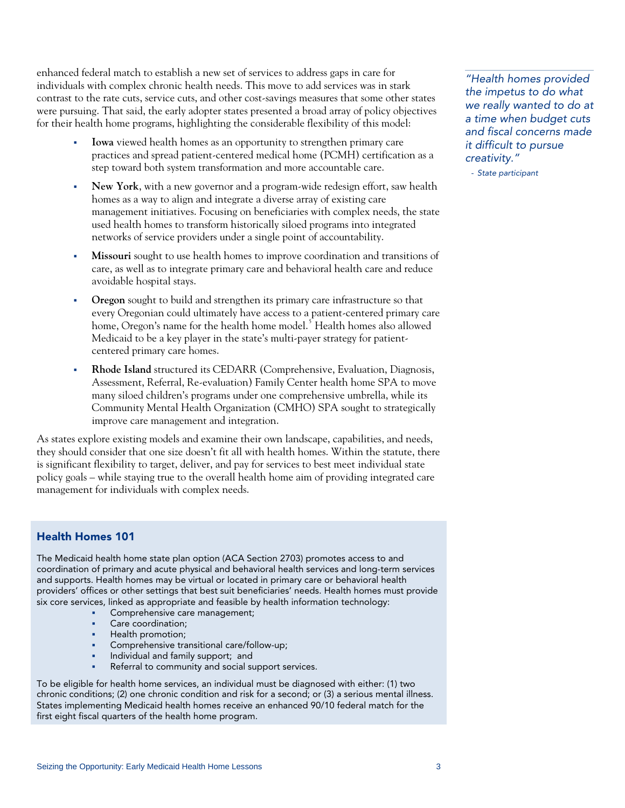enhanced federal match to establish a new set of services to address gaps in care for individuals with complex chronic health needs. This move to add services was in stark contrast to the rate cuts, service cuts, and other cost-savings measures that some other states were pursuing. That said, the early adopter states presented a broad array of policy objectives for their health home programs, highlighting the considerable flexibility of this model:

- **Iowa** viewed health homes as an opportunity to strengthen primary care practices and spread patient-centered medical home (PCMH) certification as a step toward both system transformation and more accountable care.
- **New York**, with a new governor and a program-wide redesign effort, saw health homes as a way to align and integrate a diverse array of existing care management initiatives. Focusing on beneficiaries with complex needs, the state used health homes to transform historically siloed programs into integrated networks of service providers under a single point of accountability.
- **Missouri** sought to use health homes to improve coordination and transitions of care, as well as to integrate primary care and behavioral health care and reduce avoidable hospital stays.
- **Oregon** sought to build and strengthen its primary care infrastructure so that every Oregonian could ultimately have access to a patient-centered primary care home, Oregon's name for the health home model.<sup>[5](#page-9-2)</sup> Health homes also allowed Medicaid to be a key player in the state's multi-payer strategy for patientcentered primary care homes.
- **Rhode Island** structured its CEDARR (Comprehensive, Evaluation, Diagnosis, Assessment, Referral, Re-evaluation) Family Center health home SPA to move many siloed children's programs under one comprehensive umbrella, while its Community Mental Health Organization (CMHO) SPA sought to strategically improve care management and integration.

As states explore existing models and examine their own landscape, capabilities, and needs, they should consider that one size doesn't fit all with health homes. Within the statute, there is significant flexibility to target, deliver, and pay for services to best meet individual state policy goals – while staying true to the overall health home aim of providing integrated care management for individuals with complex needs.

#### Health Homes 101

The Medicaid health home state plan option (ACA Section 2703) promotes access to and coordination of primary and acute physical and behavioral health services and long-term services and supports. Health homes may be virtual or located in primary care or behavioral health providers' offices or other settings that best suit beneficiaries' needs. Health homes must provide six core services, linked as appropriate and feasible by health information technology:

- Comprehensive care management;
- Care coordination;
- Health promotion;
- Comprehensive transitional care/follow-up;
- Individual and family support; and
- Referral to community and social support services.

To be eligible for health home services, an individual must be diagnosed with either: (1) two chronic conditions; (2) one chronic condition and risk for a second; or (3) a serious mental illness. States implementing Medicaid health homes receive an enhanced 90/10 federal match for the first eight fiscal quarters of the health home program.

*"Health homes provided the impetus to do what we really wanted to do at a time when budget cuts and fiscal concerns made it difficult to pursue creativity."* 

- *State participant*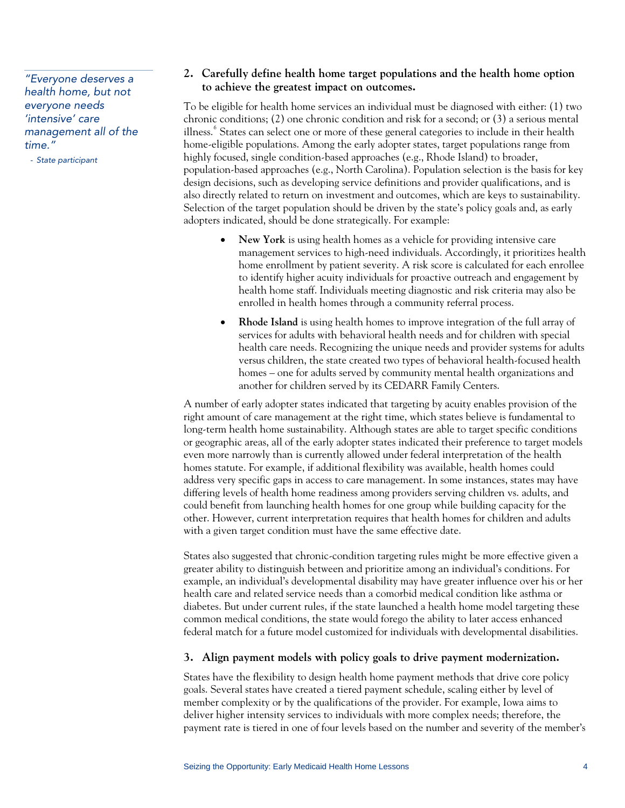*health home, but not everyone needs 'intensive' care management all of the time."* 

- *State participant* 

#### **2. Carefully define health home target populations and the health home option to achieve the greatest impact on outcomes.** *"Everyone deserves a*

To be eligible for health home services an individual must be diagnosed with either: (1) two chronic conditions; (2) one chronic condition and risk for a second; or (3) a serious mental illness.<sup>[6](#page-9-2)</sup> States can select one or more of these general categories to include in their health home-eligible populations. Among the early adopter states, target populations range from highly focused, single condition-based approaches (e.g., Rhode Island) to broader, population-based approaches (e.g., North Carolina). Population selection is the basis for key design decisions, such as developing service definitions and provider qualifications, and is also directly related to return on investment and outcomes, which are keys to sustainability. Selection of the target population should be driven by the state's policy goals and, as early adopters indicated, should be done strategically. For example:

- **New York** is using health homes as a vehicle for providing intensive care management services to high-need individuals. Accordingly, it prioritizes health home enrollment by patient severity. A risk score is calculated for each enrollee to identify higher acuity individuals for proactive outreach and engagement by health home staff. Individuals meeting diagnostic and risk criteria may also be enrolled in health homes through a community referral process.
- **Rhode Island** is using health homes to improve integration of the full array of services for adults with behavioral health needs and for children with special health care needs. Recognizing the unique needs and provider systems for adults versus children, the state created two types of behavioral health-focused health homes – one for adults served by community mental health organizations and another for children served by its CEDARR Family Centers.

A number of early adopter states indicated that targeting by acuity enables provision of the right amount of care management at the right time, which states believe is fundamental to long-term health home sustainability. Although states are able to target specific conditions or geographic areas, all of the early adopter states indicated their preference to target models even more narrowly than is currently allowed under federal interpretation of the health homes statute. For example, if additional flexibility was available, health homes could address very specific gaps in access to care management. In some instances, states may have differing levels of health home readiness among providers serving children vs. adults, and could benefit from launching health homes for one group while building capacity for the other. However, current interpretation requires that health homes for children and adults with a given target condition must have the same effective date.

States also suggested that chronic-condition targeting rules might be more effective given a greater ability to distinguish between and prioritize among an individual's conditions. For example, an individual's developmental disability may have greater influence over his or her health care and related service needs than a comorbid medical condition like asthma or diabetes. But under current rules, if the state launched a health home model targeting these common medical conditions, the state would forego the ability to later access enhanced federal match for a future model customized for individuals with developmental disabilities.

#### **3. Align payment models with policy goals to drive payment modernization.**

States have the flexibility to design health home payment methods that drive core policy goals. Several states have created a tiered payment schedule, scaling either by level of member complexity or by the qualifications of the provider. For example, Iowa aims to deliver higher intensity services to individuals with more complex needs; therefore, the payment rate is tiered in one of four levels based on the number and severity of the member's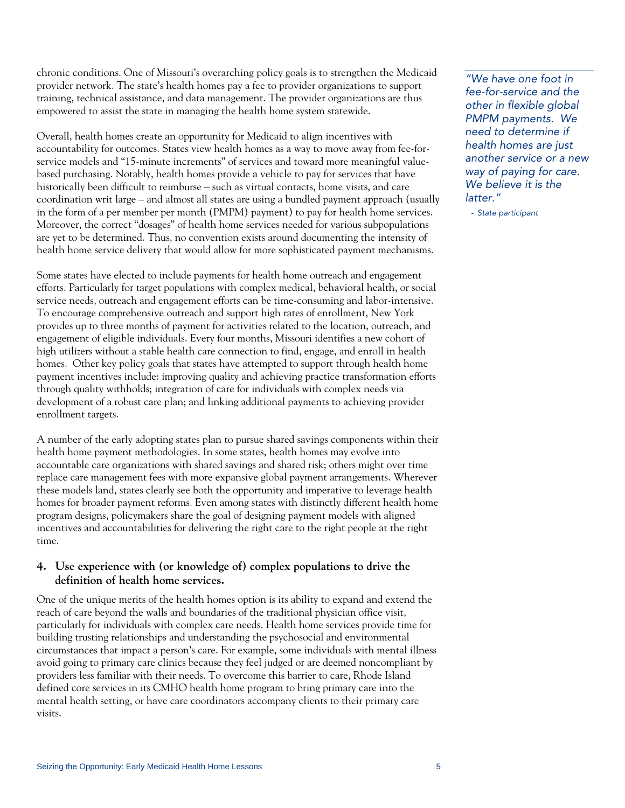chronic conditions. One of Missouri's overarching policy goals is to strengthen the Medicaid provider network. The state's health homes pay a fee to provider organizations to support training, technical assistance, and data management. The provider organizations are thus empowered to assist the state in managing the health home system statewide.

Overall, health homes create an opportunity for Medicaid to align incentives with accountability for outcomes. States view health homes as a way to move away from fee-forservice models and "15-minute increments" of services and toward more meaningful valuebased purchasing. Notably, health homes provide a vehicle to pay for services that have historically been difficult to reimburse – such as virtual contacts, home visits, and care coordination writ large – and almost all states are using a bundled payment approach (usually in the form of a per member per month (PMPM) payment) to pay for health home services. Moreover, the correct "dosages" of health home services needed for various subpopulations are yet to be determined. Thus, no convention exists around documenting the intensity of health home service delivery that would allow for more sophisticated payment mechanisms.

Some states have elected to include payments for health home outreach and engagement efforts. Particularly for target populations with complex medical, behavioral health, or social service needs, outreach and engagement efforts can be time-consuming and labor-intensive. To encourage comprehensive outreach and support high rates of enrollment, New York provides up to three months of payment for activities related to the location, outreach, and engagement of eligible individuals. Every four months, Missouri identifies a new cohort of high utilizers without a stable health care connection to find, engage, and enroll in health homes. Other key policy goals that states have attempted to support through health home payment incentives include: improving quality and achieving practice transformation efforts through quality withholds; integration of care for individuals with complex needs via development of a robust care plan; and linking additional payments to achieving provider enrollment targets.

A number of the early adopting states plan to pursue shared savings components within their health home payment methodologies. In some states, health homes may evolve into accountable care organizations with shared savings and shared risk; others might over time replace care management fees with more expansive global payment arrangements. Wherever these models land, states clearly see both the opportunity and imperative to leverage health homes for broader payment reforms. Even among states with distinctly different health home program designs, policymakers share the goal of designing payment models with aligned incentives and accountabilities for delivering the right care to the right people at the right time.

#### **4. Use experience with (or knowledge of) complex populations to drive the definition of health home services.**

One of the unique merits of the health homes option is its ability to expand and extend the reach of care beyond the walls and boundaries of the traditional physician office visit, particularly for individuals with complex care needs. Health home services provide time for building trusting relationships and understanding the psychosocial and environmental circumstances that impact a person's care. For example, some individuals with mental illness avoid going to primary care clinics because they feel judged or are deemed noncompliant by providers less familiar with their needs. To overcome this barrier to care, Rhode Island defined core services in its CMHO health home program to bring primary care into the mental health setting, or have care coordinators accompany clients to their primary care visits.

*"We have one foot in fee-for-service and the other in flexible global PMPM payments. We need to determine if health homes are just another service or a new way of paying for care. We believe it is the latter."* 

- *State participant*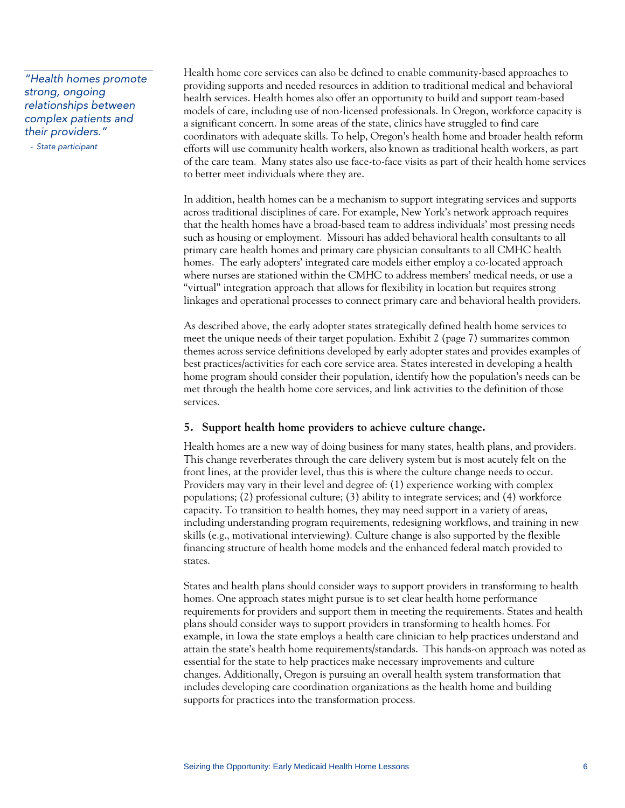*"Health homes promote strong, ongoing relationships between complex patients and their providers."* 

- *State participant* 

Health home core services can also be defined to enable community-based approaches to providing supports and needed resources in addition to traditional medical and behavioral health services. Health homes also offer an opportunity to build and support team-based models of care, including use of non-licensed professionals. In Oregon, workforce capacity is a significant concern. In some areas of the state, clinics have struggled to find care coordinators with adequate skills. To help, Oregon's health home and broader health reform efforts will use community health workers, also known as traditional health workers, as part of the care team. Many states also use face-to-face visits as part of their health home services to better meet individuals where they are.

In addition, health homes can be a mechanism to support integrating services and supports across traditional disciplines of care. For example, New York's network approach requires that the health homes have a broad-based team to address individuals' most pressing needs such as housing or employment. Missouri has added behavioral health consultants to all primary care health homes and primary care physician consultants to all CMHC health homes. The early adopters' integrated care models either employ a co-located approach where nurses are stationed within the CMHC to address members' medical needs, or use a "virtual" integration approach that allows for flexibility in location but requires strong linkages and operational processes to connect primary care and behavioral health providers.

As described above, the early adopter states strategically defined health home services to meet the unique needs of their target population. Exhibit 2 (page 7) summarizes common themes across service definitions developed by early adopter states and provides examples of best practices/activities for each core service area. States interested in developing a health home program should consider their population, identify how the population's needs can be met through the health home core services, and link activities to the definition of those services.

#### **5. Support health home providers to achieve culture change.**

Health homes are a new way of doing business for many states, health plans, and providers. This change reverberates through the care delivery system but is most acutely felt on the front lines, at the provider level, thus this is where the culture change needs to occur. Providers may vary in their level and degree of: (1) experience working with complex populations; (2) professional culture; (3) ability to integrate services; and (4) workforce capacity. To transition to health homes, they may need support in a variety of areas, including understanding program requirements, redesigning workflows, and training in new skills (e.g., motivational interviewing). Culture change is also supported by the flexible financing structure of health home models and the enhanced federal match provided to states.

States and health plans should consider ways to support providers in transforming to health homes. One approach states might pursue is to set clear health home performance requirements for providers and support them in meeting the requirements. States and health plans should consider ways to support providers in transforming to health homes. For example, in Iowa the state employs a health care clinician to help practices understand and attain the state's health home requirements/standards. This hands-on approach was noted as essential for the state to help practices make necessary improvements and culture changes. Additionally, Oregon is pursuing an overall health system transformation that includes developing care coordination organizations as the health home and building supports for practices into the transformation process.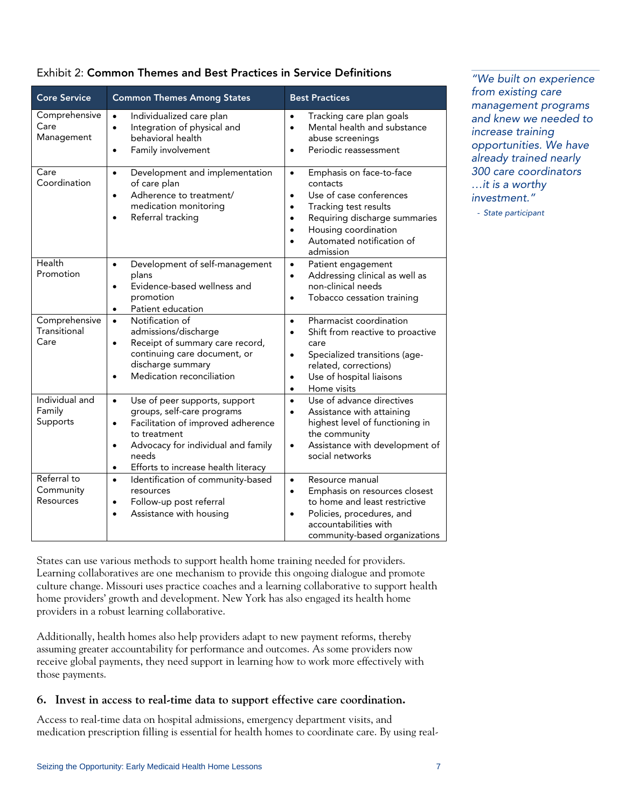| <b>Core Service</b>                   | <b>Common Themes Among States</b>                                                                                                                                                                                                                           | <b>Best Practices</b>                                                                                                                                                                                                                           |  |  |  |
|---------------------------------------|-------------------------------------------------------------------------------------------------------------------------------------------------------------------------------------------------------------------------------------------------------------|-------------------------------------------------------------------------------------------------------------------------------------------------------------------------------------------------------------------------------------------------|--|--|--|
| Comprehensive<br>Care<br>Management   | Individualized care plan<br>$\bullet$<br>Integration of physical and<br>$\bullet$<br>behavioral health<br>Family involvement                                                                                                                                | Tracking care plan goals<br>$\bullet$<br>Mental health and substance<br>$\bullet$<br>abuse screenings<br>Periodic reassessment                                                                                                                  |  |  |  |
| Care<br>Coordination                  | Development and implementation<br>$\bullet$<br>of care plan<br>Adherence to treatment/<br>$\bullet$<br>medication monitoring<br>Referral tracking                                                                                                           | Emphasis on face-to-face<br>$\bullet$<br>contacts<br>Use of case conferences<br>$\bullet$<br>Tracking test results<br>$\bullet$<br>Requiring discharge summaries<br>$\bullet$<br>Housing coordination<br>Automated notification of<br>admission |  |  |  |
| Health<br>Promotion                   | Development of self-management<br>$\bullet$<br>plans<br>Evidence-based wellness and<br>$\bullet$<br>promotion<br>Patient education<br>$\bullet$                                                                                                             | Patient engagement<br>$\bullet$<br>Addressing clinical as well as<br>$\bullet$<br>non-clinical needs<br>Tobacco cessation training<br>$\bullet$                                                                                                 |  |  |  |
| Comprehensive<br>Transitional<br>Care | Notification of<br>$\bullet$<br>admissions/discharge<br>Receipt of summary care record,<br>$\bullet$<br>continuing care document, or<br>discharge summary<br>Medication reconciliation                                                                      | Pharmacist coordination<br>$\bullet$<br>Shift from reactive to proactive<br>$\bullet$<br>care<br>Specialized transitions (age-<br>$\bullet$<br>related, corrections)<br>Use of hospital liaisons<br>$\bullet$<br>Home visits<br>$\bullet$       |  |  |  |
| Individual and<br>Family<br>Supports  | Use of peer supports, support<br>$\bullet$<br>groups, self-care programs<br>Facilitation of improved adherence<br>$\bullet$<br>to treatment<br>Advocacy for individual and family<br>$\bullet$<br>needs<br>Efforts to increase health literacy<br>$\bullet$ | Use of advance directives<br>$\bullet$<br>Assistance with attaining<br>$\bullet$<br>highest level of functioning in<br>the community<br>Assistance with development of<br>$\bullet$<br>social networks                                          |  |  |  |
| Referral to<br>Community<br>Resources | Identification of community-based<br>$\bullet$<br>resources<br>Follow-up post referral<br>$\bullet$<br>Assistance with housing<br>$\bullet$                                                                                                                 | Resource manual<br>$\bullet$<br>Emphasis on resources closest<br>$\bullet$<br>to home and least restrictive<br>Policies, procedures, and<br>$\bullet$<br>accountabilities with<br>community-based organizations                                 |  |  |  |

# Exhibit 2: Common Themes and Best Practices in Service Definitions *"We built on experience*

States can use various methods to support health home training needed for providers. Learning collaboratives are one mechanism to provide this ongoing dialogue and promote culture change. Missouri uses practice coaches and a learning collaborative to support health home providers' growth and development. New York has also engaged its health home providers in a robust learning collaborative.

Additionally, health homes also help providers adapt to new payment reforms, thereby assuming greater accountability for performance and outcomes. As some providers now receive global payments, they need support in learning how to work more effectively with those payments.

#### **6. Invest in access to real-time data to support effective care coordination.**

Access to real-time data on hospital admissions, emergency department visits, and medication prescription filling is essential for health homes to coordinate care. By using real*from existing care management programs and knew we needed to increase training opportunities. We have already trained nearly 300 care coordinators …it is a worthy investment."* 

- *State participant*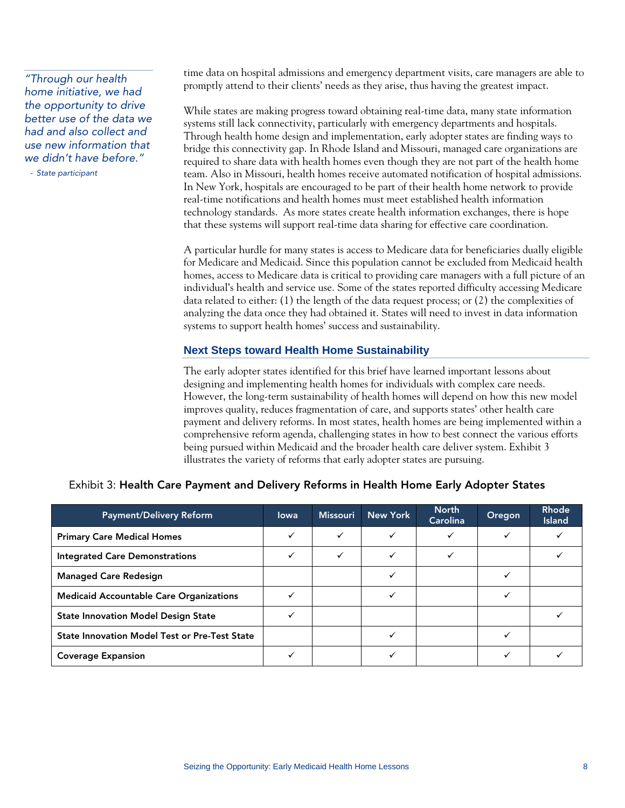*home initiative, we had the opportunity to drive better use of the data we had and also collect and use new information that we didn't have before."* 

- *State participant* 

time data on hospital admissions and emergency department visits, care managers are able to promptly attend to their clients' needs as they arise, thus having the greatest impact. *"Through our health* 

> While states are making progress toward obtaining real-time data, many state information systems still lack connectivity, particularly with emergency departments and hospitals. Through health home design and implementation, early adopter states are finding ways to bridge this connectivity gap. In Rhode Island and Missouri, managed care organizations are required to share data with health homes even though they are not part of the health home team. Also in Missouri, health homes receive automated notification of hospital admissions. In New York, hospitals are encouraged to be part of their health home network to provide real-time notifications and health homes must meet established health information technology standards. As more states create health information exchanges, there is hope that these systems will support real-time data sharing for effective care coordination.

> A particular hurdle for many states is access to Medicare data for beneficiaries dually eligible for Medicare and Medicaid. Since this population cannot be excluded from Medicaid health homes, access to Medicare data is critical to providing care managers with a full picture of an individual's health and service use. Some of the states reported difficulty accessing Medicare data related to either: (1) the length of the data request process; or (2) the complexities of analyzing the data once they had obtained it. States will need to invest in data information systems to support health homes' success and sustainability.

#### **Next Steps toward Health Home Sustainability**

The early adopter states identified for this brief have learned important lessons about designing and implementing health homes for individuals with complex care needs. However, the long-term sustainability of health homes will depend on how this new model improves quality, reduces fragmentation of care, and supports states' other health care payment and delivery reforms. In most states, health homes are being implemented within a comprehensive reform agenda, challenging states in how to best connect the various efforts being pursued within Medicaid and the broader health care deliver system. Exhibit 3 illustrates the variety of reforms that early adopter states are pursuing.

| <b>Payment/Delivery Reform</b>                       | lowa | <b>Missouri</b> | New York | <b>North</b><br><b>Carolina</b> | Oregon | Rhode<br><b>Island</b> |
|------------------------------------------------------|------|-----------------|----------|---------------------------------|--------|------------------------|
| <b>Primary Care Medical Homes</b>                    |      | ✓               |          |                                 |        |                        |
| <b>Integrated Care Demonstrations</b>                | ✓    | ✓               |          |                                 |        |                        |
| <b>Managed Care Redesign</b>                         |      |                 |          |                                 |        |                        |
| <b>Medicaid Accountable Care Organizations</b>       |      |                 |          |                                 |        |                        |
| <b>State Innovation Model Design State</b>           |      |                 |          |                                 |        |                        |
| <b>State Innovation Model Test or Pre-Test State</b> |      |                 |          |                                 |        |                        |
| <b>Coverage Expansion</b>                            |      |                 |          |                                 |        |                        |

#### Exhibit 3: Health Care Payment and Delivery Reforms in Health Home Early Adopter States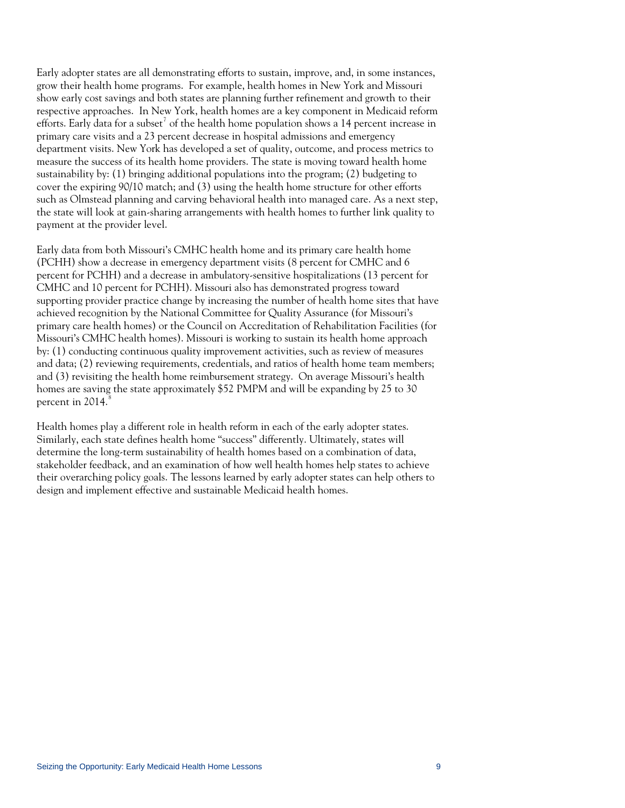Early adopter states are all demonstrating efforts to sustain, improve, and, in some instances, grow their health home programs. For example, health homes in New York and Missouri show early cost savings and both states are planning further refinement and growth to their respective approaches. In New York, health homes are a key component in Medicaid reform efforts. Early data for a subset $^7$  $^7$  of the health home population shows a 14 percent increase in primary care visits and a 23 percent decrease in hospital admissions and emergency department visits. New York has developed a set of quality, outcome, and process metrics to measure the success of its health home providers. The state is moving toward health home sustainability by: (1) bringing additional populations into the program; (2) budgeting to cover the expiring 90/10 match; and (3) using the health home structure for other efforts such as Olmstead planning and carving behavioral health into managed care. As a next step, the state will look at gain-sharing arrangements with health homes to further link quality to payment at the provider level.

Early data from both Missouri's CMHC health home and its primary care health home (PCHH) show a decrease in emergency department visits (8 percent for CMHC and 6 percent for PCHH) and a decrease in ambulatory-sensitive hospitalizations (13 percent for CMHC and 10 percent for PCHH). Missouri also has demonstrated progress toward supporting provider practice change by increasing the number of health home sites that have achieved recognition by the National Committee for Quality Assurance (for Missouri's primary care health homes) or the Council on Accreditation of Rehabilitation Facilities (for Missouri's CMHC health homes). Missouri is working to sustain its health home approach by: (1) conducting continuous quality improvement activities, such as review of measures and data; (2) reviewing requirements, credentials, and ratios of health home team members; and (3) revisiting the health home reimbursement strategy. On average Missouri's health homes are saving the state approximately \$52 PMPM and will be expanding by 25 to 30 percent in  $2014$ .

Health homes play a different role in health reform in each of the early adopter states. Similarly, each state defines health home "success" differently. Ultimately, states will determine the long-term sustainability of health homes based on a combination of data, stakeholder feedback, and an examination of how well health homes help states to achieve their overarching policy goals. The lessons learned by early adopter states can help others to design and implement effective and sustainable Medicaid health homes.